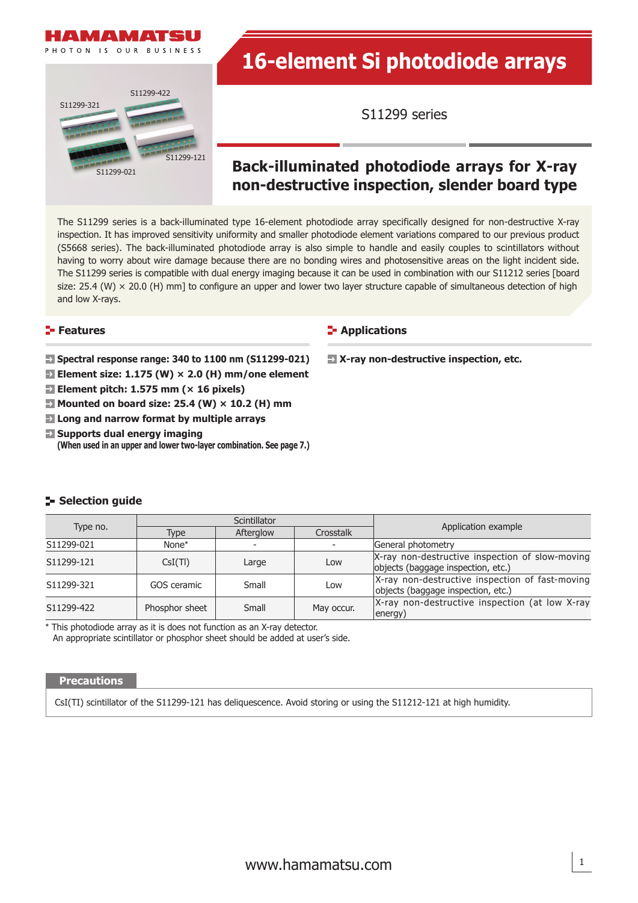



# **16-element Si photodiode arrays**

S11299 series

## **Back-illuminated photodiode arrays for X-ray non-destructive inspection, slender board type**

The S11299 series is a back-illuminated type 16-element photodiode array specifically designed for non-destructive X-ray inspection. It has improved sensitivity uniformity and smaller photodiode element variations compared to our previous product (S5668 series). The back-illuminated photodiode array is also simple to handle and easily couples to scintillators without having to worry about wire damage because there are no bonding wires and photosensitive areas on the light incident side. The S11299 series is compatible with dual energy imaging because it can be used in combination with our S11212 series [board size: 25.4 (W)  $\times$  20.0 (H) mm] to configure an upper and lower two layer structure capable of simultaneous detection of high and low X-rays.

#### **Features**

**Spectral response range: 340 to 1100 nm (S11299-021)**

- **Element size: 1.175 (W) × 2.0 (H) mm/one element**
- **Element pitch: 1.575 mm (× 16 pixels)**
- **E** Mounted on board size: 25.4 (W)  $\times$  10.2 (H) mm
- **Long and narrow format by multiple arrays**
- $\Box$  Supports dual energy imaging **(When used in an upper and lower two-layer combination. See page 7.)**

### **E-** Applications

 **X-ray non-destructive inspection, etc.**

|            |                | Scintillator           |            |                                                                                       |  |
|------------|----------------|------------------------|------------|---------------------------------------------------------------------------------------|--|
| Type no.   | Type           | Afterglow<br>Crosstalk |            | Application example                                                                   |  |
| S11299-021 | None*          |                        |            | General photometry                                                                    |  |
| S11299-121 | CsI(TI)        | Large                  | Low        | X-ray non-destructive inspection of slow-moving<br>objects (baggage inspection, etc.) |  |
| S11299-321 | GOS ceramic    | Small                  | Low        | X-ray non-destructive inspection of fast-moving<br>objects (baggage inspection, etc.) |  |
| S11299-422 | Phosphor sheet | Small                  | May occur. | $X$ -ray non-destructive inspection (at low X-ray<br>energy)                          |  |

\* This photodiode array as it is does not function as an X-ray detector.

An appropriate scintillator or phosphor sheet should be added at user's side.

#### **Precautions**

**Selection quide** 

CsI(TI) scintillator of the S11299-121 has deliquescence. Avoid storing or using the S11212-121 at high humidity.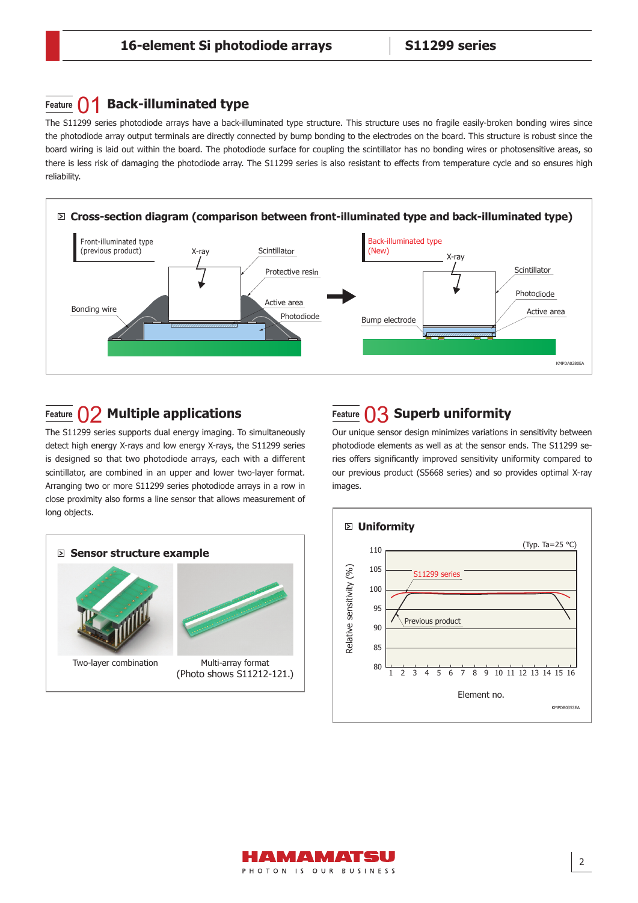## **Feature**  $\bigcap$  **Back-illuminated type**

The S11299 series photodiode arrays have a back-illuminated type structure. This structure uses no fragile easily-broken bonding wires since the photodiode array output terminals are directly connected by bump bonding to the electrodes on the board. This structure is robust since the board wiring is laid out within the board. The photodiode surface for coupling the scintillator has no bonding wires or photosensitive areas, so there is less risk of damaging the photodiode array. The S11299 series is also resistant to effects from temperature cycle and so ensures high reliability.



## **Feature** 02 **Multiple applications Feature**  $\bigcap$ 3 **Superb uniformity**

The S11299 series supports dual energy imaging. To simultaneously detect high energy X-rays and low energy X-rays, the S11299 series is designed so that two photodiode arrays, each with a different scintillator, are combined in an upper and lower two-layer format. Arranging two or more S11299 series photodiode arrays in a row in close proximity also forms a line sensor that allows measurement of long objects.



Our unique sensor design minimizes variations in sensitivity between photodiode elements as well as at the sensor ends. The S11299 series offers significantly improved sensitivity uniformity compared to our previous product (S5668 series) and so provides optimal X-ray images.



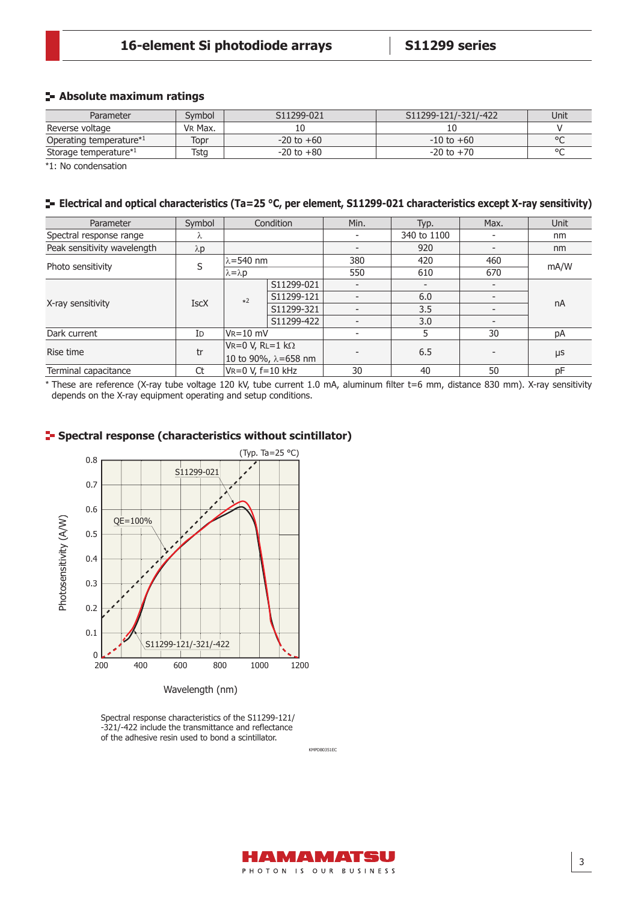## **Absolute maximum ratings**

| Parameter                           | Svmbol  | S <sub>11299</sub> -021 | S11299-121/-321/-422 | Unit    |
|-------------------------------------|---------|-------------------------|----------------------|---------|
| Reverse voltage                     | VR Max. |                         |                      |         |
| Operating temperature <sup>*1</sup> | Topr    | $-20$ to $+60$          | $-10$ to $+60$       | $\circ$ |
| Storage temperature*1               | Tsta    | $-20$ to $+80$          | $-20$ to $+70$       | $\circ$ |

\*1: No condensation

#### **Electrical and optical characteristics (Ta=25 °C, per element, S11299-021 characteristics except X-ray sensitivity)**

| Parameter                   | Symbol      | Condition               |            | Min.                     | Typ.        | Max. | Unit    |
|-----------------------------|-------------|-------------------------|------------|--------------------------|-------------|------|---------|
| Spectral response range     | Λ           |                         |            |                          | 340 to 1100 |      | nm      |
| Peak sensitivity wavelength | $\lambda p$ |                         |            | $\overline{\phantom{0}}$ | 920         |      | nm      |
|                             | S           | $\lambda$ =540 nm       |            | 380                      | 420         | 460  | mA/W    |
| Photo sensitivity           |             | $\lambda = \lambda p$   |            | 550                      | 610         | 670  |         |
|                             |             | $*2$                    | S11299-021 | $\overline{a}$           |             |      | nA      |
|                             | <b>IscX</b> |                         | S11299-121 | $\overline{a}$           | 6.0         |      |         |
| X-ray sensitivity           |             |                         | S11299-321 | $\overline{\phantom{0}}$ | 3.5         |      |         |
|                             |             |                         | S11299-422 | $\overline{\phantom{0}}$ | 3.0         |      |         |
| Dark current                | ID          | $V_R = 10$ mV           |            |                          | 5           | 30   | pA      |
| Rise time                   | tr          | Vr=0 V, Rl=1 k $\Omega$ |            |                          | 6.5         |      | $\mu$ s |
|                             |             | 10 to 90%, λ=658 nm     |            |                          |             |      |         |
| Terminal capacitance        | Ct          | $VR=0 V, f=10 kHz$      |            | 30                       | 40          | 50   | pF      |

\* These are reference (X-ray tube voltage 120 kV, tube current 1.0 mA, aluminum fi lter t=6 mm, distance 830 mm). X-ray sensitivity depends on the X-ray equipment operating and setup conditions.



## **Spectral response (characteristics without scintillator)**

Spectral response characteristics of the S11299-121/ -321/-422 include the transmittance and reflectance of the adhesive resin used to bond a scintillator.



KMPDB0351EC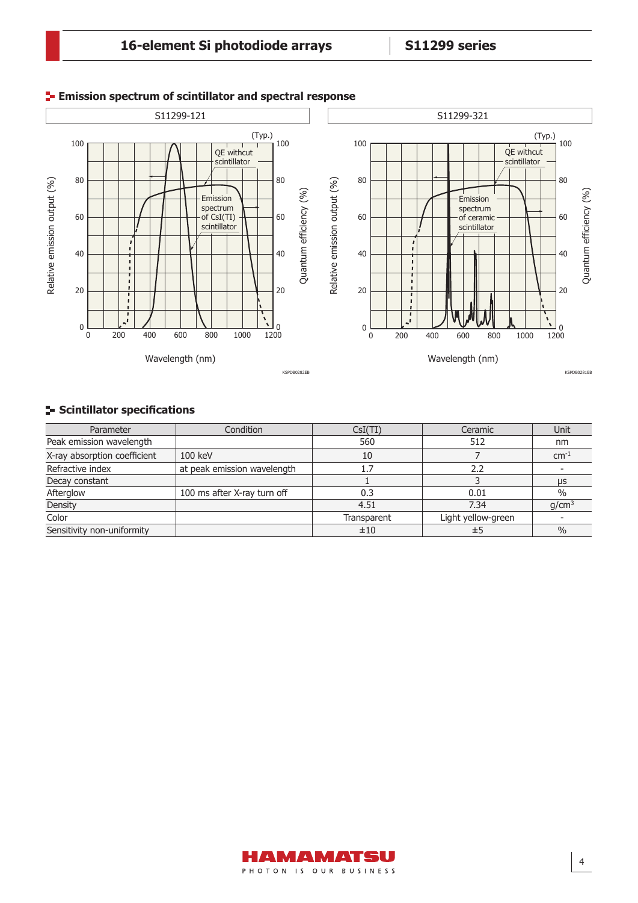

## **Emission spectrum of scintillator and spectral response**

## **Scintillator specifications**

| Parameter                    | Condition                   | CsI(TI)     | Ceramic            | Unit              |
|------------------------------|-----------------------------|-------------|--------------------|-------------------|
| Peak emission wavelength     |                             | 560         | 512                | nm                |
| X-ray absorption coefficient | 100 keV                     | 10          |                    | $cm-1$            |
| Refractive index             | at peak emission wavelength | 1.7         | 2.2                |                   |
| Decay constant               |                             |             |                    | $\mu$ s           |
| Afterglow                    | 100 ms after X-ray turn off | 0.3         | 0.01               | $\%$              |
| Density                      |                             | 4.51        | 7.34               | q/cm <sup>3</sup> |
| Color                        |                             | Transparent | Light yellow-green |                   |
| Sensitivity non-uniformity   |                             | ±10         | ±5                 | $\frac{0}{0}$     |

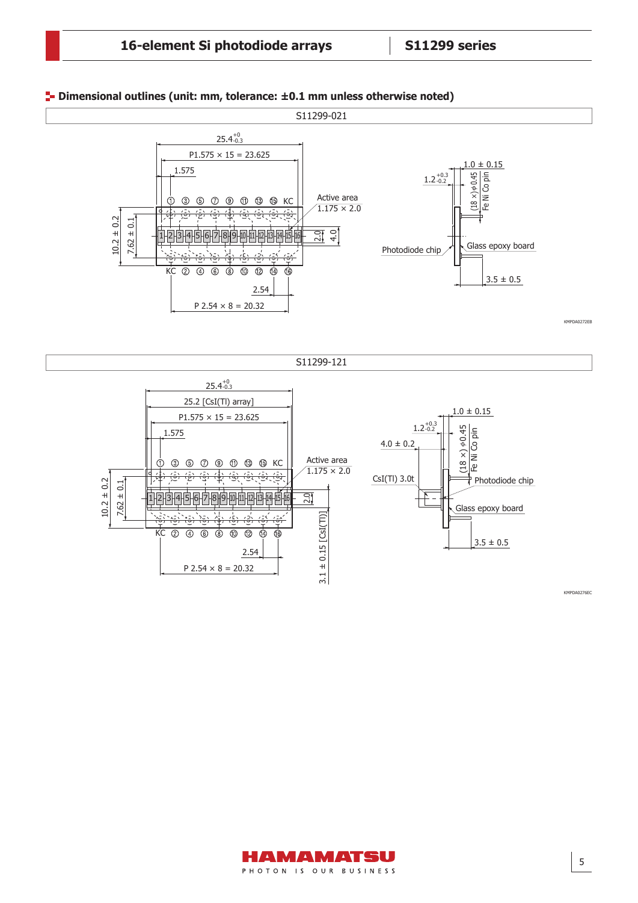

#### **Dimensional outlines (unit: mm, tolerance: ±0.1 mm unless otherwise noted)**

KMPDA0276EC

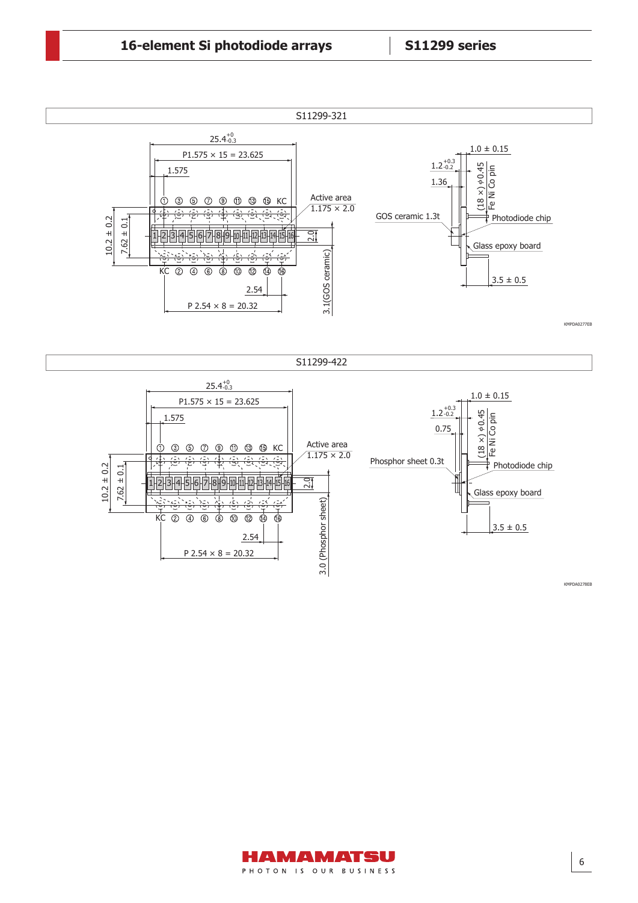





KMPDA0278EB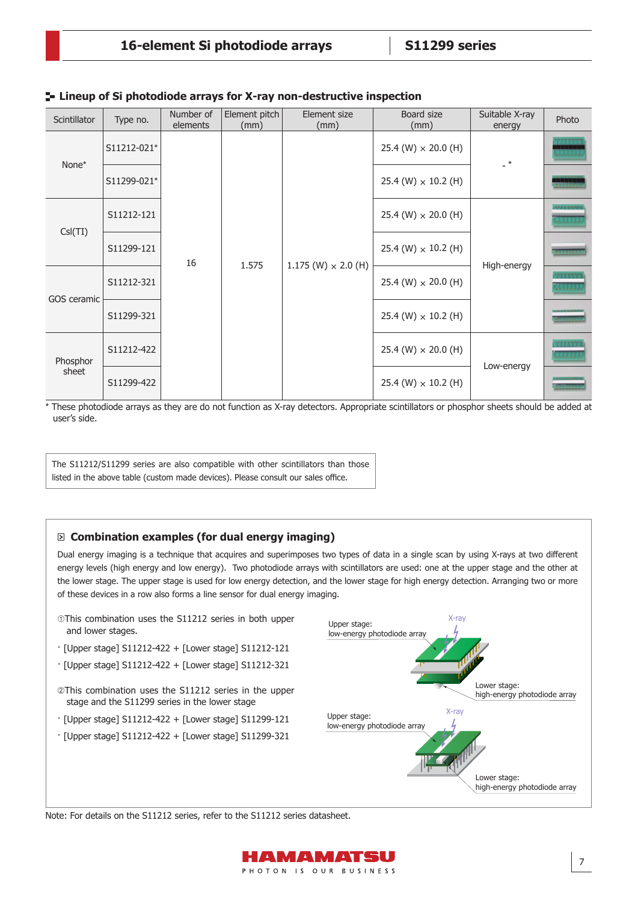## **Lineup of Si photodiode arrays for X-ray non-destructive inspection**

| Scintillator      | Type no.    | Number of<br>elements | Element pitch<br>(mm) | Element size<br>(mm)         | Board size<br>(mm)         | Suitable X-ray<br>energy | Photo                                        |
|-------------------|-------------|-----------------------|-----------------------|------------------------------|----------------------------|--------------------------|----------------------------------------------|
| None*             | S11212-021* |                       |                       | $1.175$ (W) $\times$ 2.0 (H) | 25.4 (W) $\times$ 20.0 (H) | $\cdot$ *                |                                              |
|                   | S11299-021* |                       |                       |                              | 25.4 (W) $\times$ 10.2 (H) |                          |                                              |
|                   | S11212-121  |                       |                       |                              | 25.4 (W) $\times$ 20.0 (H) |                          | * * * * * * *                                |
| Csl(TI)           | S11299-121  | 16                    | 1.575                 |                              | 25.4 (W) $\times$ 10.2 (H) | High-energy              | <b><i><u>Property Common Seconds</u></i></b> |
| GOS ceramic       | S11212-321  |                       |                       |                              | 25.4 (W) $\times$ 20.0 (H) |                          |                                              |
|                   | S11299-321  |                       |                       |                              | 25.4 (W) $\times$ 10.2 (H) |                          |                                              |
| Phosphor<br>sheet | S11212-422  |                       |                       |                              | 25.4 (W) $\times$ 20.0 (H) | Low-energy               |                                              |
|                   | S11299-422  |                       |                       |                              | 25.4 (W) $\times$ 10.2 (H) |                          |                                              |

\* These photodiode arrays as they are do not function as X-ray detectors. Appropriate scintillators or phosphor sheets should be added at user's side.

The S11212/S11299 series are also compatible with other scintillators than those listed in the above table (custom made devices). Please consult our sales office.

### **Combination examples (for dual energy imaging)**

Dual energy imaging is a technique that acquires and superimposes two types of data in a single scan by using X-rays at two different energy levels (high energy and low energy). Two photodiode arrays with scintillators are used: one at the upper stage and the other at the lower stage. The upper stage is used for low energy detection, and the lower stage for high energy detection. Arranging two or more of these devices in a row also forms a line sensor for dual energy imaging.

- This combination uses the S11212 series in both upper and lower stages.
- · [Upper stage] S11212-422 + [Lower stage] S11212-121
- · [Upper stage] S11212-422 + [Lower stage] S11212-321
- @This combination uses the S11212 series in the upper stage and the S11299 series in the lower stage
- · [Upper stage] S11212-422 + [Lower stage] S11299-121
- · [Upper stage] S11212-422 + [Lower stage] S11299-321



Note: For details on the S11212 series, refer to the S11212 series datasheet.